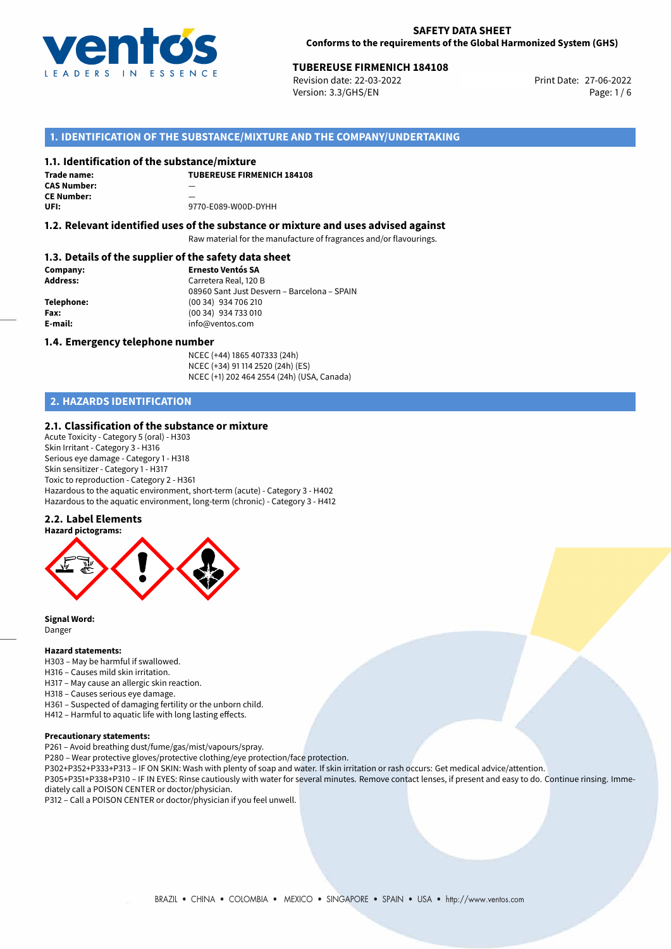

# **TUBEREUSE FIRMENICH 184108**<br> **27-06-2022 Print Date: 27-06-2022 Print Date: 27-06-2022**

Revision date: 22-03-2022 Version: 3.3/GHS/EN Page: 1 / 6

## **1. IDENTIFICATION OF THE SUBSTANCE/MIXTURE AND THE COMPANY/UNDERTAKING**

#### **1.1. Identification of the substance/mixture**

**Trade name: CAS Number:** — **CE Number: UFI:** 9770-E089-W00D-DYHH

**TUBEREUSE FIRMENICH 184108**

## **1.2. Relevant identified uses of the substance or mixture and uses advised against**

Raw material for the manufacture of fragrances and/or flavourings.

## **1.3. Details of the supplier of the safety data sheet**

| Company:        | <b>Ernesto Ventós SA</b>                    |
|-----------------|---------------------------------------------|
| <b>Address:</b> | Carretera Real, 120 B                       |
|                 | 08960 Sant Just Desvern - Barcelona - SPAIN |
| Telephone:      | (00 34) 934 706 210                         |
| Fax:            | (00 34) 934 733 010                         |
| E-mail:         | info@ventos.com                             |
|                 |                                             |

#### **1.4. Emergency telephone number**

NCEC (+44) 1865 407333 (24h) NCEC (+34) 91 114 2520 (24h) (ES) NCEC (+1) 202 464 2554 (24h) (USA, Canada)

## **2. HAZARDS IDENTIFICATION**

#### **2.1. Classification of the substance or mixture**

Acute Toxicity - Category 5 (oral) - H303 Skin Irritant - Category 3 - H316 Serious eye damage - Category 1 - H318 Skin sensitizer - Category 1 - H317 Toxic to reproduction - Category 2 - H361 Hazardous to the aquatic environment, short-term (acute) - Category 3 - H402 Hazardous to the aquatic environment, long-term (chronic) - Category 3 - H412

## **2.2. Label Elements**



**Signal Word:** Danger

#### **Hazard statements:**

- H303 May be harmful if swallowed.
- H316 Causes mild skin irritation.
- H317 May cause an allergic skin reaction.
- H318 Causes serious eye damage.
- H361 Suspected of damaging fertility or the unborn child.
- H412 Harmful to aquatic life with long lasting effects.

#### **Precautionary statements:**

P261 – Avoid breathing dust/fume/gas/mist/vapours/spray.

P280 – Wear protective gloves/protective clothing/eye protection/face protection.

- P302+P352+P333+P313 IF ON SKIN: Wash with plenty of soap and water. If skin irritation or rash occurs: Get medical advice/attention.
- P305+P351+P338+P310 IF IN EYES: Rinse cautiously with water for several minutes. Remove contact lenses, if present and easy to do. Continue rinsing. Immediately call a POISON CENTER or doctor/physician.

P312 – Call a POISON CENTER or doctor/physician if you feel unwell.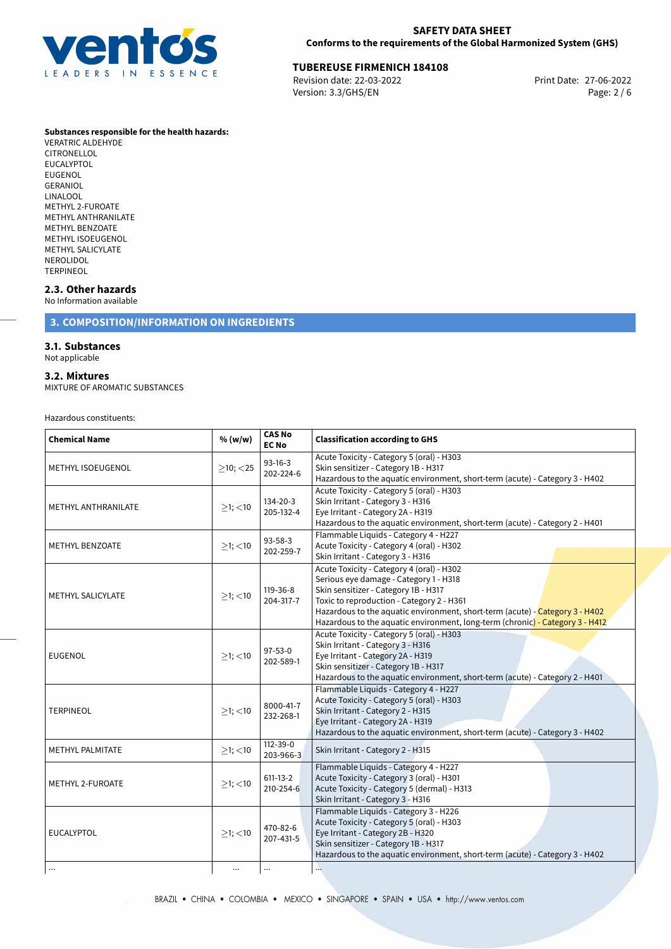

## **SAFETY DATA SHEET Conforms to the requirements of the Global Harmonized System (GHS)**

# **TUBEREUSE FIRMENICH 184108**<br>
Revision date: 22-03-2022<br>
Print Date: 27-06-2022

Revision date: 22-03-2022 Version: 3.3/GHS/EN Page: 2 / 6

#### **Substances responsible for the health hazards:**

VERATRIC ALDEHYDE CITRONELLOL EUCALYPTOL EUGENOL GERANIOL LINALOOL METHYL 2-FUROATE METHYL ANTHRANILATE METHYL BENZOATE METHYL ISOEUGENOL METHYL SALICYLATE NEROLIDOL TERPINEOL

## **2.3. Other hazards**

No Information available

## **3. COMPOSITION/INFORMATION ON INGREDIENTS**

#### **3.1. Substances**

Not applicable

#### **3.2. Mixtures**

MIXTURE OF AROMATIC SUBSTANCES

Hazardous constituents:

| <b>Chemical Name</b>     | % (w/w)        | <b>CAS No</b><br><b>EC No</b> | <b>Classification according to GHS</b>                                                                                                                                                                                                                                                                                                    |
|--------------------------|----------------|-------------------------------|-------------------------------------------------------------------------------------------------------------------------------------------------------------------------------------------------------------------------------------------------------------------------------------------------------------------------------------------|
| <b>METHYL ISOEUGENOL</b> | $>10$ ; $<$ 25 | $93-16-3$<br>202-224-6        | Acute Toxicity - Category 5 (oral) - H303<br>Skin sensitizer - Category 1B - H317<br>Hazardous to the aquatic environment, short-term (acute) - Category 3 - H402                                                                                                                                                                         |
| METHYL ANTHRANILATE      | $>1$ ; $<$ 10  | 134-20-3<br>205-132-4         | Acute Toxicity - Category 5 (oral) - H303<br>Skin Irritant - Category 3 - H316<br>Eye Irritant - Category 2A - H319<br>Hazardous to the aquatic environment, short-term (acute) - Category 2 - H401                                                                                                                                       |
| <b>METHYL BENZOATE</b>   | $>1$ ; $<$ 10  | $93 - 58 - 3$<br>202-259-7    | Flammable Liquids - Category 4 - H227<br>Acute Toxicity - Category 4 (oral) - H302<br>Skin Irritant - Category 3 - H316                                                                                                                                                                                                                   |
| METHYL SALICYLATE        | $\geq$ 1; <10  | 119-36-8<br>204-317-7         | Acute Toxicity - Category 4 (oral) - H302<br>Serious eye damage - Category 1 - H318<br>Skin sensitizer - Category 1B - H317<br>Toxic to reproduction - Category 2 - H361<br>Hazardous to the aguatic environment, short-term (acute) - Category 3 - H402<br>Hazardous to the aquatic environment, long-term (chronic) - Category 3 - H412 |
| <b>EUGENOL</b>           | $>1$ ; <10     | $97 - 53 - 0$<br>202-589-1    | Acute Toxicity - Category 5 (oral) - H303<br>Skin Irritant - Category 3 - H316<br>Eye Irritant - Category 2A - H319<br>Skin sensitizer - Category 1B - H317<br>Hazardous to the aquatic environment, short-term (acute) - Category 2 - H401                                                                                               |
| <b>TERPINEOL</b>         | $>1$ ; <10     | 8000-41-7<br>232-268-1        | Flammable Liquids - Category 4 - H227<br>Acute Toxicity - Category 5 (oral) - H303<br>Skin Irritant - Category 2 - H315<br>Eye Irritant - Category 2A - H319<br>Hazardous to the aquatic environment, short-term (acute) - Category 3 - H402                                                                                              |
| METHYL PALMITATE         | $>1$ ; $<$ 10  | 112-39-0<br>203-966-3         | Skin Irritant - Category 2 - H315                                                                                                                                                                                                                                                                                                         |
| <b>METHYL 2-FUROATE</b>  | $\geq$ 1; <10  | $611 - 13 - 2$<br>210-254-6   | Flammable Liquids - Category 4 - H227<br>Acute Toxicity - Category 3 (oral) - H301<br>Acute Toxicity - Category 5 (dermal) - H313<br>Skin Irritant - Category 3 - H316                                                                                                                                                                    |
| <b>EUCALYPTOL</b>        | $>1$ ; $<$ 10  | 470-82-6<br>207-431-5         | Flammable Liquids - Category 3 - H226<br>Acute Toxicity - Category 5 (oral) - H303<br>Eye Irritant - Category 2B - H320<br>Skin sensitizer - Category 1B - H317<br>Hazardous to the aquatic environment, short-term (acute) - Category 3 - H402                                                                                           |
| $\ddotsc$                | $\cdots$       |                               | Δ.                                                                                                                                                                                                                                                                                                                                        |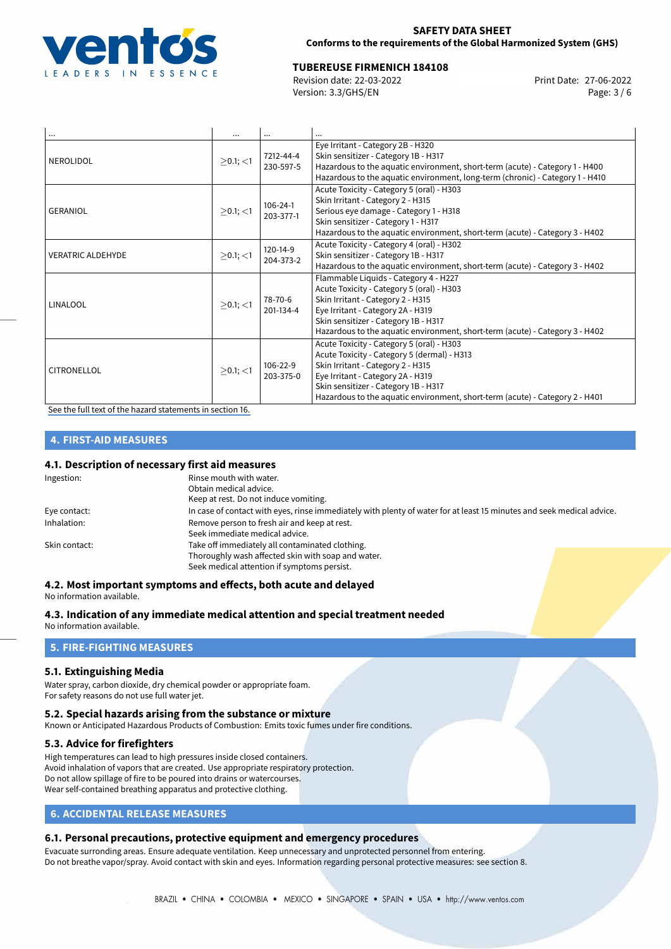

#### **SAFETY DATA SHEET Conforms to the requirements of the Global Harmonized System (GHS)**

# **TUBEREUSE FIRMENICH 184108**<br>
Revision date: 22-03-2022<br> **Print Date: 27-06-2022**

Revision date: 22-03-2022 Version: 3.3/GHS/EN Page: 3 / 6

| $\cdots$                 |                   |                        |                                                                                                                                                                                                                                                                                            |
|--------------------------|-------------------|------------------------|--------------------------------------------------------------------------------------------------------------------------------------------------------------------------------------------------------------------------------------------------------------------------------------------|
| <b>NEROLIDOL</b>         | $\geq$ 0.1; <1    | 7212-44-4<br>230-597-5 | Eye Irritant - Category 2B - H320<br>Skin sensitizer - Category 1B - H317<br>Hazardous to the aquatic environment, short-term (acute) - Category 1 - H400<br>Hazardous to the aquatic environment, long-term (chronic) - Category 1 - H410                                                 |
| GERANIOL                 | $\geq$ 0.1; $<$ 1 | 106-24-1<br>203-377-1  | Acute Toxicity - Category 5 (oral) - H303<br>Skin Irritant - Category 2 - H315<br>Serious eye damage - Category 1 - H318<br>Skin sensitizer - Category 1 - H317<br>Hazardous to the aquatic environment, short-term (acute) - Category 3 - H402                                            |
| <b>VERATRIC ALDEHYDE</b> | $\geq$ 0.1; $<$ 1 | 120-14-9<br>204-373-2  | Acute Toxicity - Category 4 (oral) - H302<br>Skin sensitizer - Category 1B - H317<br>Hazardous to the aquatic environment, short-term (acute) - Category 3 - H402                                                                                                                          |
| LINALOOL                 | $>0.1$ ; <1       | 78-70-6<br>201-134-4   | Flammable Liquids - Category 4 - H227<br>Acute Toxicity - Category 5 (oral) - H303<br>Skin Irritant - Category 2 - H315<br>Eye Irritant - Category 2A - H319<br>Skin sensitizer - Category 1B - H317<br>Hazardous to the aquatic environment, short-term (acute) - Category 3 - H402       |
| CITRONELLOL              | $>0.1$ ; $<$ 1    | 106-22-9<br>203-375-0  | Acute Toxicity - Category 5 (oral) - H303<br>Acute Toxicity - Category 5 (dermal) - H313<br>Skin Irritant - Category 2 - H315<br>Eye Irritant - Category 2A - H319<br>Skin sensitizer - Category 1B - H317<br>Hazardous to the aquatic environment, short-term (acute) - Category 2 - H401 |

[See the full text of the hazard statements in section 16.](#page-5-0)

## **4. FIRST-AID MEASURES**

## **4.1. Description of necessary first aid measures**

| Ingestion:    | Rinse mouth with water.<br>Obtain medical advice.<br>Keep at rest. Do not induce vomiting.                                                           |
|---------------|------------------------------------------------------------------------------------------------------------------------------------------------------|
| Eye contact:  | In case of contact with eyes, rinse immediately with plenty of water for at least 15 minutes and seek medical advice.                                |
| Inhalation:   | Remove person to fresh air and keep at rest.<br>Seek immediate medical advice.                                                                       |
| Skin contact: | Take off immediately all contaminated clothing.<br>Thoroughly wash affected skin with soap and water.<br>Seek medical attention if symptoms persist. |

### **4.2. Most important symptoms and effects, both acute and delayed**

No information available.

**4.3. Indication of any immediate medical attention and special treatment needed** No information available.

## **5. FIRE-FIGHTING MEASURES**

## **5.1. Extinguishing Media**

Water spray, carbon dioxide, dry chemical powder or appropriate foam. For safety reasons do not use full water jet.

## **5.2. Special hazards arising from the substance or mixture**

Known or Anticipated Hazardous Products of Combustion: Emits toxic fumes under fire conditions.

## **5.3. Advice for firefighters**

High temperatures can lead to high pressures inside closed containers. Avoid inhalation of vapors that are created. Use appropriate respiratory protection. Do not allow spillage of fire to be poured into drains or watercourses. Wear self-contained breathing apparatus and protective clothing.

## **6. ACCIDENTAL RELEASE MEASURES**

## **6.1. Personal precautions, protective equipment and emergency procedures**

Evacuate surronding areas. Ensure adequate ventilation. Keep unnecessary and unprotected personnel from entering. Do not breathe vapor/spray. Avoid contact with skin and eyes. Information regarding personal protective measures: see section 8.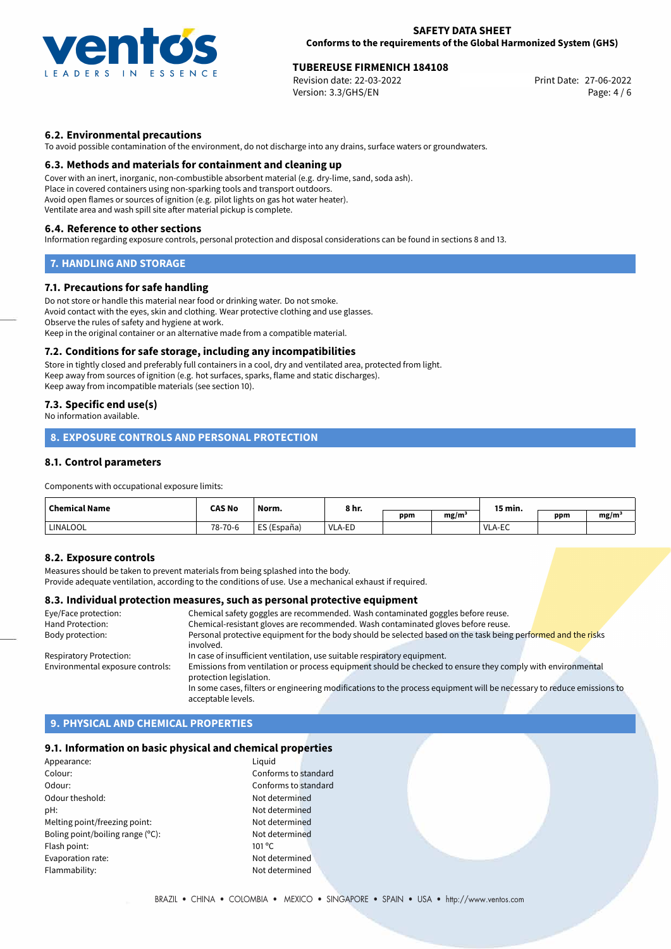

#### **SAFETY DATA SHEET Conforms to the requirements of the Global Harmonized System (GHS)**

## **TUBEREUSE FIRMENICH 184108**<br> **27-06-2022 Print Date: 27-06-2022 Print Date: 27-06-2022**

Revision date: 22-03-2022 Version: 3.3/GHS/EN Page: 4 / 6

## **6.2. Environmental precautions**

To avoid possible contamination of the environment, do not discharge into any drains, surface waters or groundwaters.

#### **6.3. Methods and materials for containment and cleaning up**

Cover with an inert, inorganic, non-combustible absorbent material (e.g. dry-lime, sand, soda ash). Place in covered containers using non-sparking tools and transport outdoors. Avoid open flames or sources of ignition (e.g. pilot lights on gas hot water heater). Ventilate area and wash spill site after material pickup is complete.

#### **6.4. Reference to other sections**

Information regarding exposure controls, personal protection and disposal considerations can be found in sections 8 and 13.

## **7. HANDLING AND STORAGE**

#### **7.1. Precautions for safe handling**

Do not store or handle this material near food or drinking water. Do not smoke. Avoid contact with the eyes, skin and clothing. Wear protective clothing and use glasses. Observe the rules of safety and hygiene at work. Keep in the original container or an alternative made from a compatible material.

#### **7.2. Conditions for safe storage, including any incompatibilities**

Store in tightly closed and preferably full containers in a cool, dry and ventilated area, protected from light. Keep away from sources of ignition (e.g. hot surfaces, sparks, flame and static discharges). Keep away from incompatible materials (see section 10).

#### **7.3. Specific end use(s)**

No information available.

## **8. EXPOSURE CONTROLS AND PERSONAL PROTECTION**

## **8.1. Control parameters**

Components with occupational exposure limits:

| <b>Chemical Name</b> | <b>CAS No</b> | Norm.                                    | 8 hr.  |     |      | 15 min. |     |      |
|----------------------|---------------|------------------------------------------|--------|-----|------|---------|-----|------|
|                      |               |                                          |        | ppm | mg/m |         | ppm | mg/m |
| <b>LINALOOL</b>      | 78-70-6       | ES (España)<br>$F^{\prime}$ $F^{\prime}$ | VLA-ED |     |      | VLA-EC  |     |      |

#### **8.2. Exposure controls**

Measures should be taken to prevent materials from being splashed into the body.

Provide adequate ventilation, according to the conditions of use. Use a mechanical exhaust if required.

#### **8.3. Individual protection measures, such as personal protective equipment**

| Eye/Face protection:             | Chemical safety goggles are recommended. Wash contaminated goggles before reuse.                                      |
|----------------------------------|-----------------------------------------------------------------------------------------------------------------------|
| Hand Protection:                 | Chemical-resistant gloves are recommended. Wash contaminated gloves before reuse.                                     |
| Body protection:                 | Personal protective equipment for the body should be selected based on the task being performed and the risks         |
|                                  | involved.                                                                                                             |
| <b>Respiratory Protection:</b>   | In case of insufficient ventilation, use suitable respiratory equipment.                                              |
| Environmental exposure controls: | Emissions from ventilation or process equipment should be checked to ensure they comply with environmental            |
|                                  | protection legislation.                                                                                               |
|                                  | In some cases, filters or engineering modifications to the process equipment will be necessary to reduce emissions to |
|                                  | acceptable levels.                                                                                                    |

## **9. PHYSICAL AND CHEMICAL PROPERTIES**

## **9.1. Information on basic physical and chemical properties**

| Appearance:                      | Liguid               |
|----------------------------------|----------------------|
| Colour:                          | Conforms to standard |
| Odour:                           | Conforms to standard |
| Odour theshold:                  | Not determined       |
| pH:                              | Not determined       |
| Melting point/freezing point:    | Not determined       |
| Boling point/boiling range (°C): | Not determined       |
| Flash point:                     | $101^{\circ}$ C      |
| Evaporation rate:                | Not determined       |
| Flammability:                    | Not determined       |
|                                  |                      |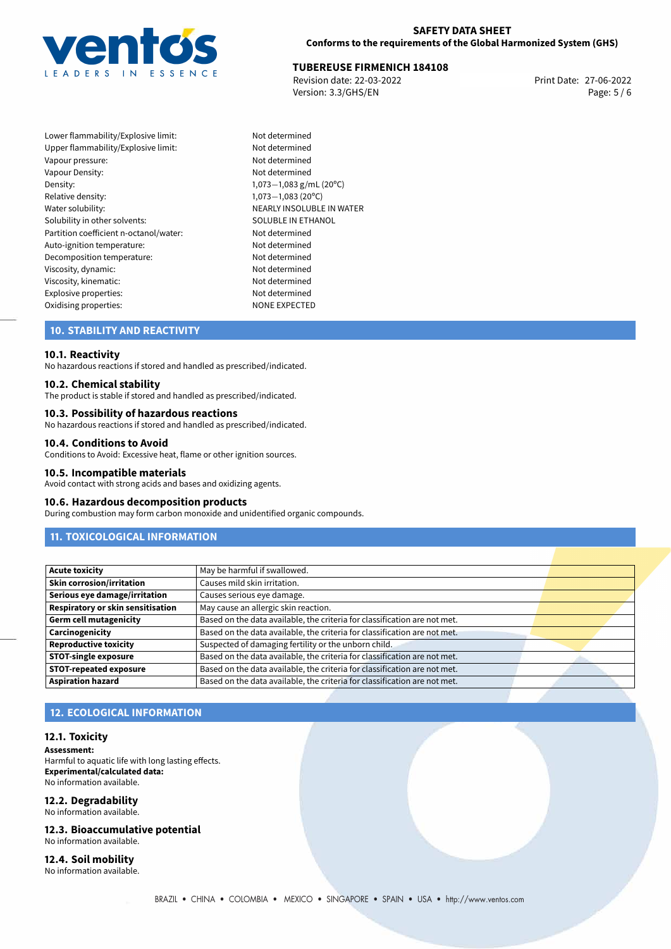

## **TUBEREUSE FIRMENICH 184108**<br> **27-06-2022 Print Date: 27-06-2022 Print Date: 27-06-2022**

Revision date: 22-03-2022 Version: 3.3/GHS/EN Page: 5 / 6

Lower flammability/Explosive limit: Not determined Upper flammability/Explosive limit: Not determined Vapour pressure: Vapour pressure: Vapour Density: Not determined Density: 1,073−1,083 g/mL (20<sup>o</sup>C)<br>Relative density: 1.073−1.083 (20<sup>o</sup>C) Relative density: 1,073−1,083 (20°C)<br>Water solubility: 1,073−1,083 (20°C) Solubility in other solvents: SOLUBLE IN ETHANOL Partition coefficient n-octanol/water: Not determined Auto-ignition temperature: Not determined Decomposition temperature: Not determined Viscosity, dynamic: Not determined Viscosity, kinematic: Not determined Explosive properties: Not determined Oxidising properties: NONE EXPECTED

NEARLY INSOLUBLE IN WATER

## **10. STABILITY AND REACTIVITY**

#### **10.1. Reactivity**

No hazardous reactions if stored and handled as prescribed/indicated.

#### **10.2. Chemical stability**

The product is stable if stored and handled as prescribed/indicated.

#### **10.3. Possibility of hazardous reactions**

No hazardous reactions if stored and handled as prescribed/indicated.

#### **10.4. Conditions to Avoid**

Conditions to Avoid: Excessive heat, flame or other ignition sources.

#### **10.5. Incompatible materials**

Avoid contact with strong acids and bases and oxidizing agents.

#### **10.6. Hazardous decomposition products**

During combustion may form carbon monoxide and unidentified organic compounds.

## **11. TOXICOLOGICAL INFORMATION**

| <b>Acute toxicity</b>             | May be harmful if swallowed.                                              |  |
|-----------------------------------|---------------------------------------------------------------------------|--|
| Skin corrosion/irritation         | Causes mild skin irritation.                                              |  |
| Serious eye damage/irritation     | Causes serious eye damage.                                                |  |
| Respiratory or skin sensitisation | May cause an allergic skin reaction.                                      |  |
| Germ cell mutagenicity            | Based on the data available, the criteria for classification are not met. |  |
| <b>Carcinogenicity</b>            | Based on the data available, the criteria for classification are not met. |  |
| <b>Reproductive toxicity</b>      | Suspected of damaging fertility or the unborn child.                      |  |
| <b>STOT-single exposure</b>       | Based on the data available, the criteria for classification are not met. |  |
| <b>STOT-repeated exposure</b>     | Based on the data available, the criteria for classification are not met. |  |
| <b>Aspiration hazard</b>          | Based on the data available, the criteria for classification are not met. |  |

## **12. ECOLOGICAL INFORMATION**

#### **12.1. Toxicity**

**Assessment:**

Harmful to aquatic life with long lasting effects. **Experimental/calculated data:** No information available.

#### **12.2. Degradability**

No information available.

**12.3. Bioaccumulative potential** No information available.

**12.4. Soil mobility** No information available.